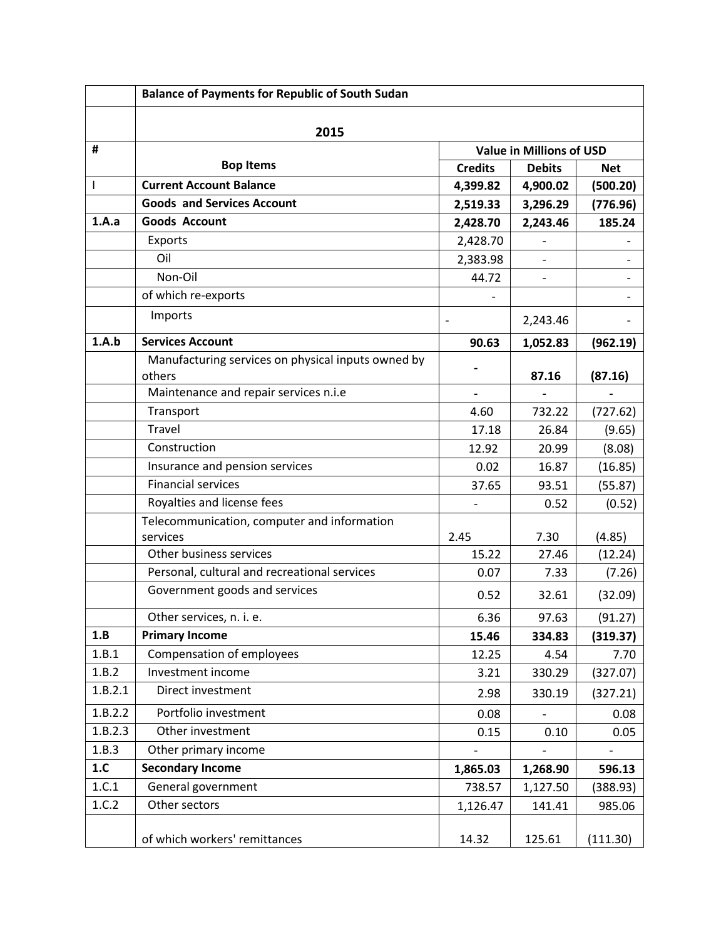|         | <b>Balance of Payments for Republic of South Sudan</b>       |                                 |                          |            |  |  |
|---------|--------------------------------------------------------------|---------------------------------|--------------------------|------------|--|--|
|         | 2015                                                         |                                 |                          |            |  |  |
| #       |                                                              | <b>Value in Millions of USD</b> |                          |            |  |  |
|         | <b>Bop Items</b>                                             | <b>Credits</b>                  | <b>Debits</b>            | <b>Net</b> |  |  |
| T       | <b>Current Account Balance</b>                               | 4,399.82                        | 4,900.02                 | (500.20)   |  |  |
|         | <b>Goods and Services Account</b>                            | 2,519.33                        | 3,296.29                 | (776.96)   |  |  |
| 1.A.a   | <b>Goods Account</b>                                         | 2,428.70                        | 2,243.46                 | 185.24     |  |  |
|         | Exports                                                      | 2,428.70                        |                          |            |  |  |
|         | Oil                                                          | 2,383.98                        | $\overline{\phantom{0}}$ |            |  |  |
|         | Non-Oil                                                      | 44.72                           |                          |            |  |  |
|         | of which re-exports                                          |                                 |                          |            |  |  |
|         | Imports                                                      | $\qquad \qquad -$               | 2,243.46                 |            |  |  |
| 1.A.b   | <b>Services Account</b>                                      | 90.63                           | 1,052.83                 | (962.19)   |  |  |
|         | Manufacturing services on physical inputs owned by<br>others |                                 | 87.16                    | (87.16)    |  |  |
|         | Maintenance and repair services n.i.e                        | $\overline{\phantom{0}}$        |                          |            |  |  |
|         | Transport                                                    | 4.60                            | 732.22                   | (727.62)   |  |  |
|         | <b>Travel</b>                                                | 17.18                           | 26.84                    | (9.65)     |  |  |
|         | Construction                                                 | 12.92                           | 20.99                    | (8.08)     |  |  |
|         | Insurance and pension services                               | 0.02                            | 16.87                    | (16.85)    |  |  |
|         | <b>Financial services</b>                                    | 37.65                           | 93.51                    | (55.87)    |  |  |
|         | Royalties and license fees                                   |                                 | 0.52                     | (0.52)     |  |  |
|         | Telecommunication, computer and information                  |                                 |                          |            |  |  |
|         | services                                                     | 2.45                            | 7.30                     | (4.85)     |  |  |
|         | Other business services                                      | 15.22                           | 27.46                    | (12.24)    |  |  |
|         | Personal, cultural and recreational services                 | 0.07                            | 7.33                     | (7.26)     |  |  |
|         | Government goods and services                                | 0.52                            | 32.61                    | (32.09)    |  |  |
|         | Other services, n. i. e.                                     | 6.36                            | 97.63                    | (91.27)    |  |  |
| 1.B     | <b>Primary Income</b>                                        | 15.46                           | 334.83                   | (319.37)   |  |  |
| 1.B.1   | Compensation of employees                                    | 12.25                           | 4.54                     | 7.70       |  |  |
| 1.B.2   | Investment income                                            | 3.21                            | 330.29                   | (327.07)   |  |  |
| 1.B.2.1 | Direct investment                                            | 2.98                            | 330.19                   | (327.21)   |  |  |
| 1.B.2.2 | Portfolio investment                                         | 0.08                            |                          | 0.08       |  |  |
| 1.B.2.3 | Other investment                                             | 0.15                            | 0.10                     | 0.05       |  |  |
| 1.B.3   | Other primary income                                         |                                 |                          |            |  |  |
| 1.C     | <b>Secondary Income</b>                                      | 1,865.03                        | 1,268.90                 | 596.13     |  |  |
| 1.C.1   | General government                                           | 738.57                          | 1,127.50                 | (388.93)   |  |  |
| 1.C.2   | Other sectors                                                | 1,126.47                        | 141.41                   | 985.06     |  |  |
|         | of which workers' remittances                                | 14.32                           | 125.61                   | (111.30)   |  |  |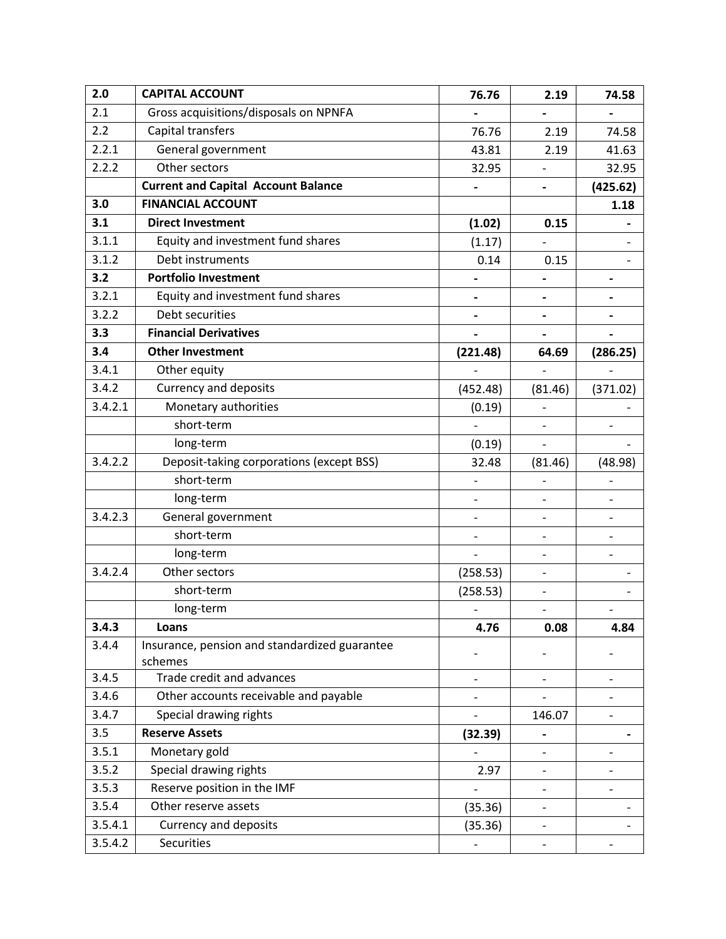| 2.0     | <b>CAPITAL ACCOUNT</b>                                   | 76.76                    | 2.19                         | 74.58                    |  |
|---------|----------------------------------------------------------|--------------------------|------------------------------|--------------------------|--|
| 2.1     | Gross acquisitions/disposals on NPNFA                    |                          |                              |                          |  |
| 2.2     | Capital transfers                                        | 76.76                    | 2.19                         |                          |  |
| 2.2.1   | General government                                       | 43.81                    | 2.19                         | 41.63                    |  |
| 2.2.2   | Other sectors                                            | 32.95                    |                              | 32.95                    |  |
|         | <b>Current and Capital Account Balance</b>               | -                        | $\qquad \qquad \blacksquare$ | (425.62)                 |  |
| 3.0     | <b>FINANCIAL ACCOUNT</b>                                 |                          |                              | 1.18                     |  |
| 3.1     | <b>Direct Investment</b>                                 | (1.02)                   | 0.15                         |                          |  |
| 3.1.1   | Equity and investment fund shares                        | (1.17)                   |                              |                          |  |
| 3.1.2   | Debt instruments                                         | 0.14                     | 0.15                         |                          |  |
| 3.2     | <b>Portfolio Investment</b>                              |                          |                              |                          |  |
| 3.2.1   | Equity and investment fund shares                        |                          |                              |                          |  |
| 3.2.2   | Debt securities                                          | -                        | $\qquad \qquad \blacksquare$ |                          |  |
| 3.3     | <b>Financial Derivatives</b>                             |                          |                              |                          |  |
| 3.4     | <b>Other Investment</b>                                  | (221.48)                 | 64.69                        | (286.25)                 |  |
| 3.4.1   | Other equity                                             |                          |                              |                          |  |
| 3.4.2   | <b>Currency and deposits</b>                             | (452.48)                 | (81.46)                      | (371.02)                 |  |
| 3.4.2.1 | Monetary authorities                                     | (0.19)                   |                              |                          |  |
|         | short-term                                               |                          |                              | $\overline{\phantom{0}}$ |  |
|         | long-term                                                | (0.19)                   |                              |                          |  |
| 3.4.2.2 | Deposit-taking corporations (except BSS)                 | 32.48                    | (81.46)                      | (48.98)                  |  |
|         | short-term                                               |                          |                              |                          |  |
|         | long-term                                                | $\overline{\phantom{0}}$ |                              |                          |  |
| 3.4.2.3 | General government                                       | -                        |                              |                          |  |
|         | short-term                                               | $\overline{a}$           |                              |                          |  |
|         | long-term                                                |                          |                              |                          |  |
| 3.4.2.4 | Other sectors                                            | (258.53)                 | $\qquad \qquad \blacksquare$ |                          |  |
|         | short-term                                               | (258.53)                 |                              |                          |  |
|         | long-term                                                |                          |                              |                          |  |
| 3.4.3   | Loans                                                    | 4.76                     | 0.08                         | 4.84                     |  |
| 3.4.4   | Insurance, pension and standardized guarantee<br>schemes |                          |                              |                          |  |
| 3.4.5   | Trade credit and advances                                | -                        | $\overline{\phantom{a}}$     | $\qquad \qquad -$        |  |
| 3.4.6   | Other accounts receivable and payable                    |                          |                              |                          |  |
| 3.4.7   | Special drawing rights                                   |                          | 146.07                       |                          |  |
| 3.5     | <b>Reserve Assets</b>                                    | (32.39)                  | -                            |                          |  |
| 3.5.1   | Monetary gold                                            |                          |                              | $\overline{\phantom{a}}$ |  |
| 3.5.2   | Special drawing rights                                   | 2.97                     | $\frac{1}{2}$                |                          |  |
| 3.5.3   | Reserve position in the IMF                              |                          |                              |                          |  |
| 3.5.4   | Other reserve assets                                     | (35.36)                  | $\overline{\phantom{0}}$     |                          |  |
| 3.5.4.1 | Currency and deposits                                    | (35.36)                  |                              |                          |  |
| 3.5.4.2 | <b>Securities</b>                                        |                          |                              |                          |  |